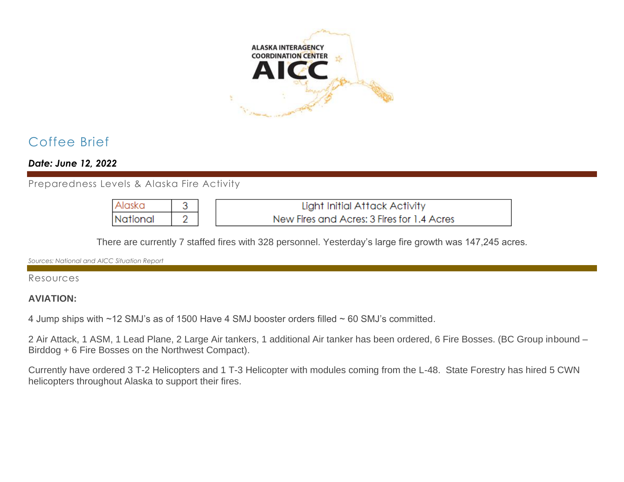

# Coffee Brief

*Date: June 12, 2022*

Preparedness Levels & Alaska Fire Activity

| TAlaska  | Light Initial Attack Activity              |
|----------|--------------------------------------------|
| National | New Fires and Acres: 3 Fires for 1.4 Acres |

There are currently 7 staffed fires with 328 personnel. Yesterday's large fire growth was 147,245 acres.

*Sources: National and AICC Situation Report*

#### Resources

#### **AVIATION:**

4 Jump ships with ~12 SMJ's as of 1500 Have 4 SMJ booster orders filled ~ 60 SMJ's committed.

2 Air Attack, 1 ASM, 1 Lead Plane, 2 Large Air tankers, 1 additional Air tanker has been ordered, 6 Fire Bosses. (BC Group inbound – Birddog + 6 Fire Bosses on the Northwest Compact).

Currently have ordered 3 T-2 Helicopters and 1 T-3 Helicopter with modules coming from the L-48. State Forestry has hired 5 CWN helicopters throughout Alaska to support their fires.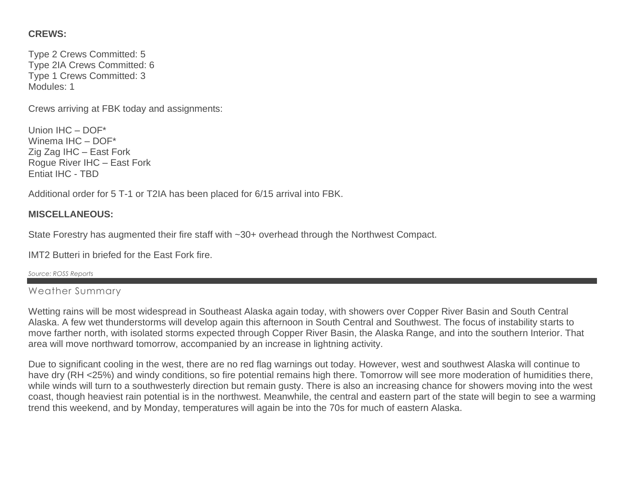## **CREWS:**

Type 2 Crews Committed: 5 Type 2IA Crews Committed: 6 Type 1 Crews Committed: 3 Modules: 1

Crews arriving at FBK today and assignments:

Union IHC – DOF\* Winema IHC – DOF\* Zig Zag IHC – East Fork Rogue River IHC – East Fork Entiat IHC - TBD

Additional order for 5 T-1 or T2IA has been placed for 6/15 arrival into FBK.

# **MISCELLANEOUS:**

State Forestry has augmented their fire staff with ~30+ overhead through the Northwest Compact.

IMT2 Butteri in briefed for the East Fork fire.

*Source: ROSS Reports*

Weather Summary

Wetting rains will be most widespread in Southeast Alaska again today, with showers over Copper River Basin and South Central Alaska. A few wet thunderstorms will develop again this afternoon in South Central and Southwest. The focus of instability starts to move farther north, with isolated storms expected through Copper River Basin, the Alaska Range, and into the southern Interior. That area will move northward tomorrow, accompanied by an increase in lightning activity.

Due to significant cooling in the west, there are no red flag warnings out today. However, west and southwest Alaska will continue to have dry (RH <25%) and windy conditions, so fire potential remains high there. Tomorrow will see more moderation of humidities there, while winds will turn to a southwesterly direction but remain gusty. There is also an increasing chance for showers moving into the west coast, though heaviest rain potential is in the northwest. Meanwhile, the central and eastern part of the state will begin to see a warming trend this weekend, and by Monday, temperatures will again be into the 70s for much of eastern Alaska.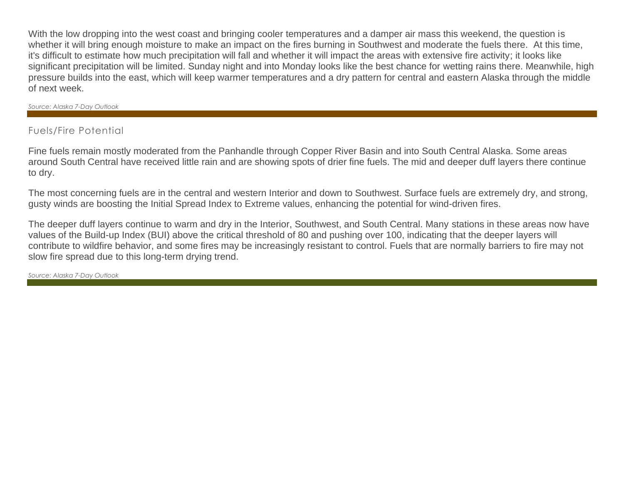With the low dropping into the west coast and bringing cooler temperatures and a damper air mass this weekend, the question is whether it will bring enough moisture to make an impact on the fires burning in Southwest and moderate the fuels there. At this time, it's difficult to estimate how much precipitation will fall and whether it will impact the areas with extensive fire activity; it looks like significant precipitation will be limited. Sunday night and into Monday looks like the best chance for wetting rains there. Meanwhile, high pressure builds into the east, which will keep warmer temperatures and a dry pattern for central and eastern Alaska through the middle of next week.

*Source: Alaska 7-Day Outlook*

## Fuels/Fire Potential

Fine fuels remain mostly moderated from the Panhandle through Copper River Basin and into South Central Alaska. Some areas around South Central have received little rain and are showing spots of drier fine fuels. The mid and deeper duff layers there continue to dry.

The most concerning fuels are in the central and western Interior and down to Southwest. Surface fuels are extremely dry, and strong, gusty winds are boosting the Initial Spread Index to Extreme values, enhancing the potential for wind-driven fires.

The deeper duff layers continue to warm and dry in the Interior, Southwest, and South Central. Many stations in these areas now have values of the Build-up Index (BUI) above the critical threshold of 80 and pushing over 100, indicating that the deeper layers will contribute to wildfire behavior, and some fires may be increasingly resistant to control. Fuels that are normally barriers to fire may not slow fire spread due to this long-term drying trend.

*Source: Alaska 7-Day Outlook*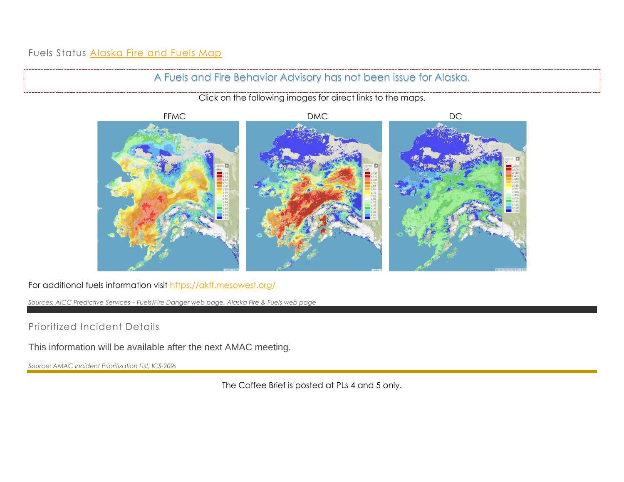## Fuels Status [Alaska Fire and Fuels Map](https://akff.mesowest.org/map/#/c6337,-14900,4/g1/mc/vtemp/sAK/n/zt)



For additional fuels information visit<https://akff.mesowest.org/>

*Sources: AICC Predictive Services – Fuels/Fire Danger web page, Alaska Fire & Fuels web page*

Prioritized Incident Details

This information will be available after the next AMAC meeting.

*Source: AMAC Incident Prioritization List, ICS-209s*

The Coffee Brief is posted at PLs 4 and 5 only.